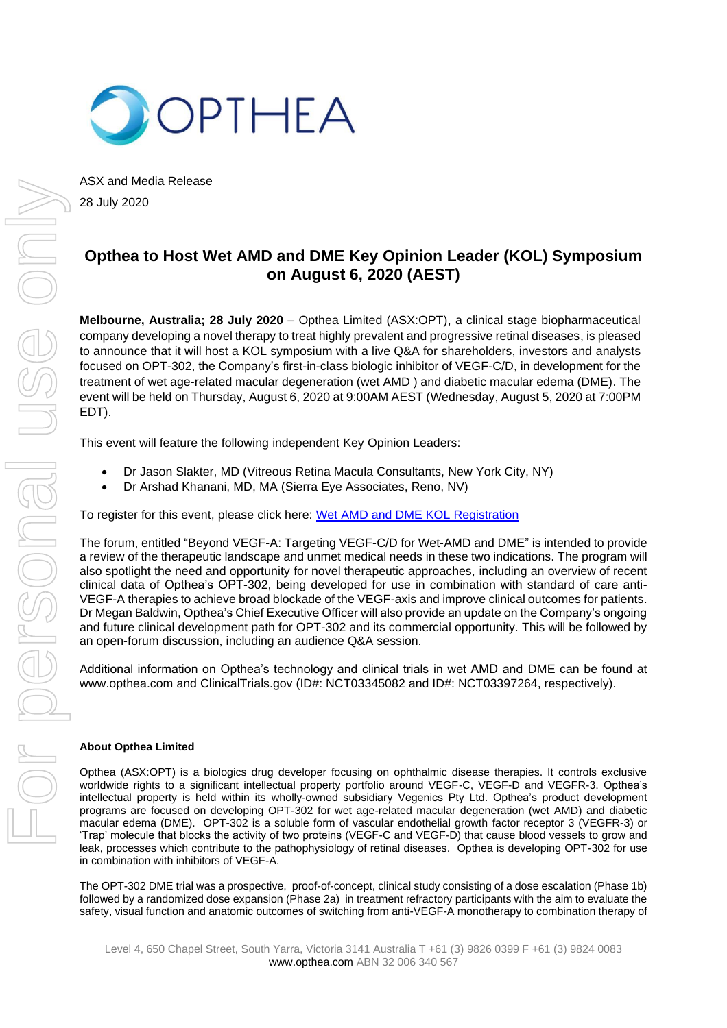

ASX and Media Release 28 July 2020

# **Opthea to Host Wet AMD and DME Key Opinion Leader (KOL) Symposium on August 6, 2020 (AEST)**

**Melbourne, Australia; 28 July 2020** – Opthea Limited (ASX:OPT), a clinical stage biopharmaceutical company developing a novel therapy to treat highly prevalent and progressive retinal diseases, is pleased to announce that it will host a KOL symposium with a live Q&A for shareholders, investors and analysts focused on OPT-302, the Company's first-in-class biologic inhibitor of VEGF-C/D, in development for the treatment of wet age-related macular degeneration (wet AMD ) and diabetic macular edema (DME). The event will be held on Thursday, August 6, 2020 at 9:00AM AEST (Wednesday, August 5, 2020 at 7:00PM EDT).

This event will feature the following independent Key Opinion Leaders:

- Dr Jason Slakter, MD (Vitreous Retina Macula Consultants, New York City, NY)
- Dr Arshad Khanani, MD, MA (Sierra Eye Associates, Reno, NV)

To register for this event, please click here: [Wet AMD and DME KOL Registration](https://us02web.zoom.us/webinar/register/WN_B0wBt_fQSQyw_2GyNM9CTw)

The forum, entitled "Beyond VEGF-A: Targeting VEGF-C/D for Wet-AMD and DME" is intended to provide a review of the therapeutic landscape and unmet medical needs in these two indications. The program will also spotlight the need and opportunity for novel therapeutic approaches, including an overview of recent clinical data of Opthea's OPT-302, being developed for use in combination with standard of care anti-VEGF-A therapies to achieve broad blockade of the VEGF-axis and improve clinical outcomes for patients. Dr Megan Baldwin, Opthea's Chief Executive Officer will also provide an update on the Company's ongoing and future clinical development path for OPT-302 and its commercial opportunity. This will be followed by an open-forum discussion, including an audience Q&A session.

Additional information on Opthea's technology and clinical trials in wet AMD and DME can be found at www.opthea.com and ClinicalTrials.gov (ID#: NCT03345082 and ID#: NCT03397264, respectively).

# **About Opthea Limited**

Opthea (ASX:OPT) is a biologics drug developer focusing on ophthalmic disease therapies. It controls exclusive worldwide rights to a significant intellectual property portfolio around VEGF-C, VEGF-D and VEGFR-3. Opthea's intellectual property is held within its wholly-owned subsidiary Vegenics Pty Ltd. Opthea's product development programs are focused on developing OPT-302 for wet age-related macular degeneration (wet AMD) and diabetic macular edema (DME). OPT-302 is a soluble form of vascular endothelial growth factor receptor 3 (VEGFR-3) or 'Trap' molecule that blocks the activity of two proteins (VEGF-C and VEGF-D) that cause blood vessels to grow and leak, processes which contribute to the pathophysiology of retinal diseases. Opthea is developing OPT-302 for use in combination with inhibitors of VEGF-A.

The OPT-302 DME trial was a prospective, proof-of-concept, clinical study consisting of a dose escalation (Phase 1b) followed by a randomized dose expansion (Phase 2a) in treatment refractory participants with the aim to evaluate the safety, visual function and anatomic outcomes of switching from anti-VEGF-A monotherapy to combination therapy of